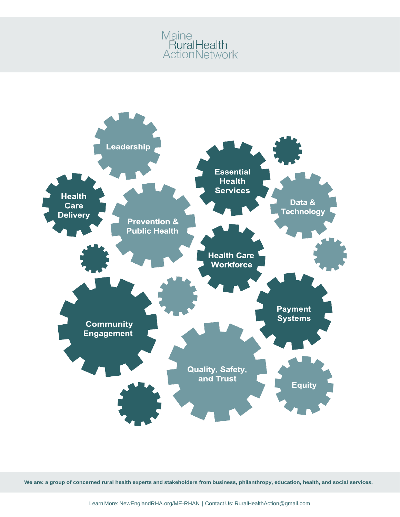# Maine<br>RuralHealth<br>ActionNetwork



**We are: a group of concerned rural health experts and stakeholders from business, philanthropy, education, health, and social services.**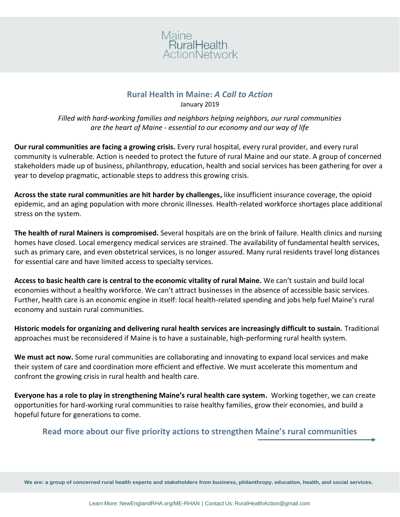

#### **Rural Health in Maine:** *A Call to Action* January 2019

*Filled with hard-working families and neighbors helping neighbors, our rural communities are the heart of Maine - essential to our economy and our way of life*

**Our rural communities are facing a growing crisis.** Every rural hospital, every rural provider, and every rural community is vulnerable. Action is needed to protect the future of rural Maine and our state. A group of concerned stakeholders made up of business, philanthropy, education, health and social services has been gathering for over a year to develop pragmatic, actionable steps to address this growing crisis.

**Across the state rural communities are hit harder by challenges,** like insufficient insurance coverage, the opioid epidemic, and an aging population with more chronic illnesses. Health-related workforce shortages place additional stress on the system.

**The health of rural Mainers is compromised.** Several hospitals are on the brink of failure. Health clinics and nursing homes have closed. Local emergency medical services are strained. The availability of fundamental health services, such as primary care, and even obstetrical services, is no longer assured. Many rural residents travel long distances for essential care and have limited access to specialty services.

**Access to basic health care is central to the economic vitality of rural Maine.** We can't sustain and build local economies without a healthy workforce. We can't attract businesses in the absence of accessible basic services. Further, health care is an economic engine in itself: local health-related spending and jobs help fuel Maine's rural economy and sustain rural communities.

**Historic models for organizing and delivering rural health services are increasingly difficult to sustain.** Traditional approaches must be reconsidered if Maine is to have a sustainable, high-performing rural health system.

**We must act now.** Some rural communities are collaborating and innovating to expand local services and make their system of care and coordination more efficient and effective. We must accelerate this momentum and confront the growing crisis in rural health and health care.

**Everyone has a role to play in strengthening Maine's rural health care system.** Working together, we can create opportunities for hard-working rural communities to raise healthy families, grow their economies, and build a hopeful future for generations to come.

# **Read more about our five priority actions to strengthen Maine's rural communities**

**We are: a group of concerned rural health experts and stakeholders from business, philanthropy, education, health, and social services.**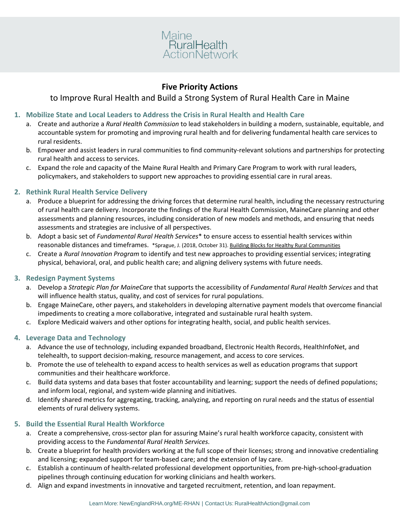

## **Five Priority Actions**

## to Improve Rural Health and Build a Strong System of Rural Health Care in Maine

#### **1. Mobilize State and Local Leaders to Address the Crisis in Rural Health and Health Care**

- a. Create and authorize a *Rural Health Commission* to lead stakeholders in building a modern, sustainable, equitable, and accountable system for promoting and improving rural health and for delivering fundamental health care services to rural residents.
- b. Empower and assist leaders in rural communities to find community-relevant solutions and partnerships for protecting rural health and access to services.
- c. Expand the role and capacity of the Maine Rural Health and Primary Care Program to work with rural leaders, policymakers, and stakeholders to support new approaches to providing essential care in rural areas.

#### **2. Rethink Rural Health Service Delivery**

- a. Produce a blueprint for addressing the driving forces that determine rural health, including the necessary restructuring of rural health care delivery. Incorporate the findings of the Rural Health Commission, MaineCare planning and other assessments and planning resources, including consideration of new models and methods, and ensuring that needs assessments and strategies are inclusive of all perspectives.
- b. Adopt a basic set of *Fundamental Rural Health Services*\* to ensure access to essential health services within reasonable distances and timeframes. \*Sprague, J. (2018, October 31). [Building Blocks for Healthy Rural Communities](https://drive.google.com/drive/u/0/folders/14kqyPvH_8OypHxt8yTOZX73mGYeFZitW)
- c. Create a *Rural Innovation Program* to identify and test new approaches to providing essential services; integrating physical, behavioral, oral, and public health care; and aligning delivery systems with future needs.

#### **3. Redesign Payment Systems**

- a. Develop a *Strategic Plan for MaineCare* that supports the accessibility of *Fundamental Rural Health Services* and that will influence health status, quality, and cost of services for rural populations.
- b. Engage MaineCare, other payers, and stakeholders in developing alternative payment models that overcome financial impediments to creating a more collaborative, integrated and sustainable rural health system.
- c. Explore Medicaid waivers and other options for integrating health, social, and public health services.

#### **4. Leverage Data and Technology**

- a. Advance the use of technology, including expanded broadband, Electronic Health Records, HealthInfoNet, and telehealth, to support decision-making, resource management, and access to core services.
- b. Promote the use of telehealth to expand access to health services as well as education programs that support communities and their healthcare workforce.
- c. Build data systems and data bases that foster accountability and learning; support the needs of defined populations; and inform local, regional, and system-wide planning and initiatives.
- d. Identify shared metrics for aggregating, tracking, analyzing, and reporting on rural needs and the status of essential elements of rural delivery systems.

#### **5. Build the Essential Rural Health Workforce**

- a. Create a comprehensive, cross-sector plan for assuring Maine's rural health workforce capacity, consistent with providing access to the *Fundamental Rural Health Services.*
- b. Create a blueprint for health providers working at the full scope of their licenses; strong and innovative credentialing and licensing; expanded support for team-based care; and the extension of lay care.
- c. Establish a continuum of health-related professional development opportunities, from pre-high-school-graduation pipelines through continuing education for working clinicians and health workers.
- d. Align and expand investments in innovative and targeted recruitment, retention, and loan repayment.